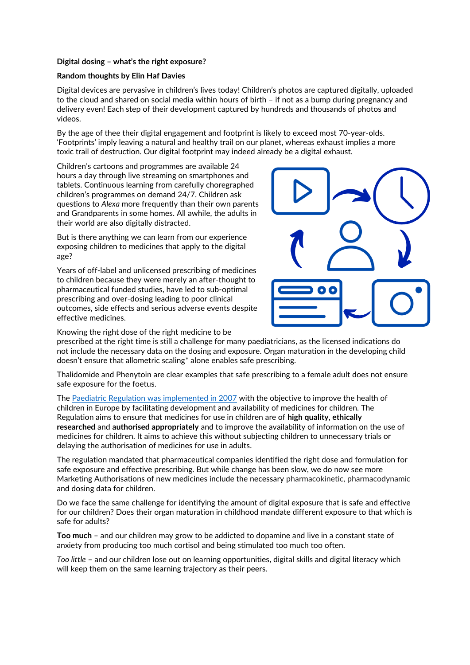## **Digital dosing – what's the right exposure?**

## **Random thoughts by Elin Haf Davies**

Digital devices are pervasive in children's lives today! Children's photos are captured digitally, uploaded to the cloud and shared on social media within hours of birth – if not as a bump during pregnancy and delivery even! Each step of their development captured by hundreds and thousands of photos and videos.

By the age of thee their digital engagement and footprint is likely to exceed most 70-year-olds. 'Footprints' imply leaving a natural and healthy trail on our planet, whereas exhaust implies a more toxic trail of destruction. Our digital footprint may indeed already be a digital exhaust.

Children's cartoons and programmes are available 24 hours a day through live streaming on smartphones and tablets. Continuous learning from carefully choregraphed children's programmes on demand 24/7. Children ask questions to *Alexa* more frequently than their own parents and Grandparents in some homes. All awhile, the adults in their world are also digitally distracted.

But is there anything we can learn from our experience exposing children to medicines that apply to the digital age?

Years of off-label and unlicensed prescribing of medicines to children because they were merely an after-thought to pharmaceutical funded studies, have led to sub-optimal prescribing and over-dosing leading to poor clinical outcomes, side effects and serious adverse events despite effective medicines.



Knowing the right dose of the right medicine to be

prescribed at the right time is still a challenge for many paediatricians, as the licensed indications do not include the necessary data on the dosing and exposure. Organ maturation in the developing child doesn't ensure that allometric scaling\* alone enables safe prescribing.

Thalidomide and Phenytoin are clear examples that safe prescribing to a female adult does not ensure safe exposure for the foetus.

The [Paediatric Regulation was implemented in 2007](https://www.ema.europa.eu/en/human-regulatory/overview/paediatric-medicines/paediatric-regulation) with the objective to improve the health of children in Europe by facilitating development and availability of medicines for children. The Regulation aims to ensure that medicines for use in children are of **high quality**, **ethically researched** and **authorised appropriately** and to improve the availability of information on the use of medicines for children. It aims to achieve this without subjecting children to unnecessary trials or delaying the authorisation of medicines for use in adults.

The regulation mandated that pharmaceutical companies identified the right dose and formulation for safe exposure and effective prescribing. But while change has been slow, we do now see more Marketing Authorisations of new medicines include the necessary pharmacokinetic, pharmacodynamic and dosing data for children.

Do we face the same challenge for identifying the amount of digital exposure that is safe and effective for our children? Does their organ maturation in childhood mandate different exposure to that which is safe for adults?

**Too much** – and our children may grow to be addicted to dopamine and live in a constant state of anxiety from producing too much cortisol and being stimulated too much too often.

*Too little* – and our children lose out on learning opportunities, digital skills and digital literacy which will keep them on the same learning trajectory as their peers.